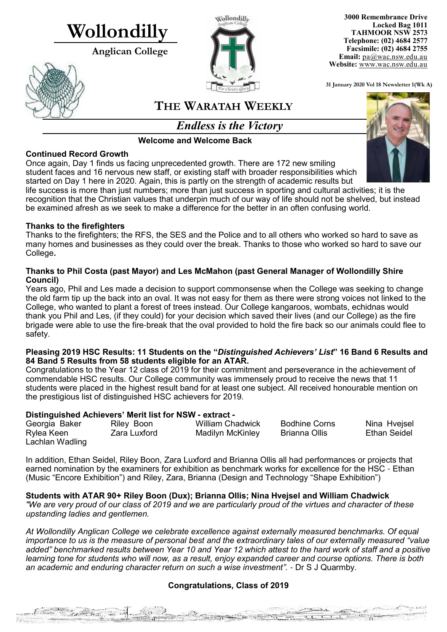# **Wollondilly**

**Anglican College** 





**3000 Remembrance Drive Locked Bag 1011 TAHMOOR NSW 2573 Telephone: (02) 4684 2577 Facsimile: (02) 4684 2755 Email:** [pa@wac.nsw.edu.au](mailto:pa@wac.nsw.edu.au) **Website:** www.wac.nsw.edu.au

**31 January 2020 Vol 18 Newsletter 1(Wk A)** 

# **THE WARATAH WEEKLY**

*Endless is the Victory*

**Welcome and Welcome Back**

### **Continued Record Growth**

Once again, Day 1 finds us facing unprecedented growth. There are 172 new smiling student faces and 16 nervous new staff, or existing staff with broader responsibilities which started on Day 1 here in 2020. Again, this is partly on the strength of academic results but life success is more than just numbers; more than just success in sporting and cultural activities; it is the recognition that the Christian values that underpin much of our way of life should not be shelved, but instead

be examined afresh as we seek to make a difference for the better in an often confusing world.

#### **Thanks to the firefighters**

Thanks to the firefighters; the RFS, the SES and the Police and to all others who worked so hard to save as many homes and businesses as they could over the break. Thanks to those who worked so hard to save our College**.**

#### **Thanks to Phil Costa (past Mayor) and Les McMahon (past General Manager of Wollondilly Shire Council)**

Years ago, Phil and Les made a decision to support commonsense when the College was seeking to change the old farm tip up the back into an oval. It was not easy for them as there were strong voices not linked to the College, who wanted to plant a forest of trees instead. Our College kangaroos, wombats, echidnas would thank you Phil and Les, (if they could) for your decision which saved their lives (and our College) as the fire brigade were able to use the fire-break that the oval provided to hold the fire back so our animals could flee to safety.

#### **Pleasing 2019 HSC Results: 11 Students on the "***Distinguished Achievers' List***" 16 Band 6 Results and 84 Band 5 Results from 58 students eligible for an ATAR.**

Congratulations to the Year 12 class of 2019 for their commitment and perseverance in the achievement of commendable HSC results. Our College community was immensely proud to receive the news that 11 students were placed in the highest result band for at least one subject. All received honourable mention on the prestigious list of distinguished HSC achievers for 2019.

# **Distinguished Achievers' Merit list for NSW - extract -**

Commencer of the state of the commencement

| Georgia Baker   | Riley Boon   | <b>William Chadwick</b> | <b>Bodhine Corns</b> | Nina Hveisel |
|-----------------|--------------|-------------------------|----------------------|--------------|
| Rylea Keen      | Zara Luxford | Madilyn McKinley        | Brianna Ollis        | Ethan Seidel |
| Lachlan Wadling |              |                         |                      |              |

In addition, Ethan Seidel, Riley Boon, Zara Luxford and Brianna Ollis all had performances or projects that earned nomination by the examiners for exhibition as benchmark works for excellence for the HSC - Ethan (Music "Encore Exhibition") and Riley, Zara, Brianna (Design and Technology "Shape Exhibition")

# **Students with ATAR 90+ Riley Boon (Dux); Brianna Ollis; Nina Hvejsel and William Chadwick**

*"We are very proud of our class of 2019 and we are particularly proud of the virtues and character of these upstanding ladies and gentlemen.*

*At Wollondilly Anglican College we celebrate excellence against externally measured benchmarks. Of equal importance to us is the measure of personal best and the extraordinary tales of our externally measured "value added" benchmarked results between Year 10 and Year 12 which attest to the hard work of staff and a positive learning tone for students who will now, as a result, enjoy expanded career and course options. There is both an academic and enduring character return on such a wise investment".* - Dr S J Quarmby.

# **Congratulations, Class of 2019**

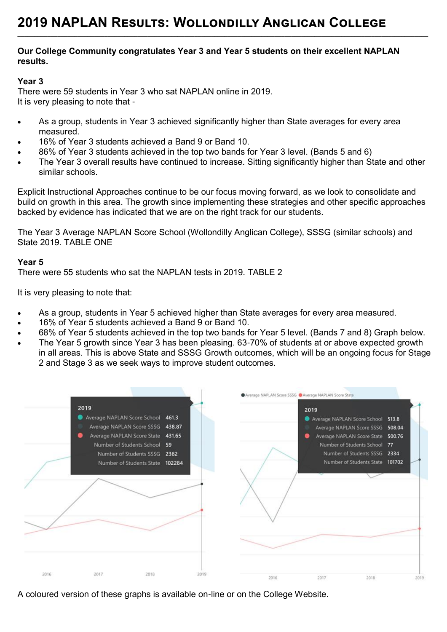#### **Our College Community congratulates Year 3 and Year 5 students on their excellent NAPLAN results.**

**\_\_\_\_\_\_\_\_\_\_\_\_\_\_\_\_\_\_\_\_\_\_\_\_\_\_\_\_\_\_\_\_\_\_\_\_\_\_\_\_\_\_\_\_\_\_\_\_\_\_\_\_\_\_\_\_\_\_\_\_\_\_\_\_\_\_\_\_\_\_\_\_\_\_\_\_\_\_\_\_\_\_\_\_\_\_\_\_\_\_\_\_\_\_\_\_\_\_\_\_\_\_\_\_\_\_\_\_\_\_\_\_\_\_\_\_\_\_\_\_\_\_\_**

#### **Year 3**

There were 59 students in Year 3 who sat NAPLAN online in 2019. It is very pleasing to note that -

- As a group, students in Year 3 achieved significantly higher than State averages for every area measured.
- 16% of Year 3 students achieved a Band 9 or Band 10.
- 86% of Year 3 students achieved in the top two bands for Year 3 level. (Bands 5 and 6)
- The Year 3 overall results have continued to increase. Sitting significantly higher than State and other similar schools.

Explicit Instructional Approaches continue to be our focus moving forward, as we look to consolidate and build on growth in this area. The growth since implementing these strategies and other specific approaches backed by evidence has indicated that we are on the right track for our students.

The Year 3 Average NAPLAN Score School (Wollondilly Anglican College), SSSG (similar schools) and State 2019. TABLE ONE

### **Year 5**

There were 55 students who sat the NAPLAN tests in 2019. TABLE 2

It is very pleasing to note that:

- As a group, students in Year 5 achieved higher than State averages for every area measured.
- 16% of Year 5 students achieved a Band 9 or Band 10.
- 68% of Year 5 students achieved in the top two bands for Year 5 level. (Bands 7 and 8) Graph below.
- The Year 5 growth since Year 3 has been pleasing. 63-70% of students at or above expected growth in all areas. This is above State and SSSG Growth outcomes, which will be an ongoing focus for Stage 2 and Stage 3 as we seek ways to improve student outcomes.



A coloured version of these graphs is available on-line or on the College Website.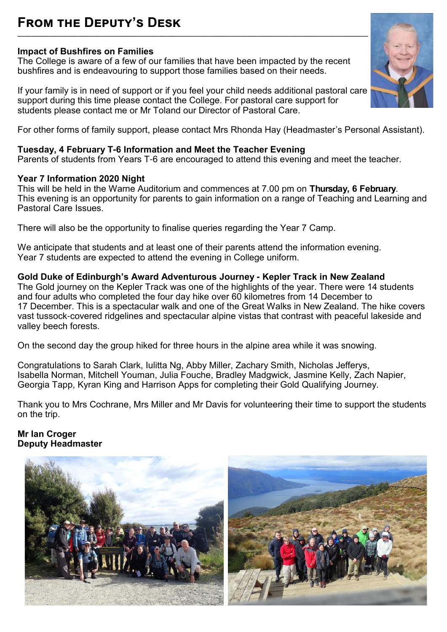# **From the Deputy's Desk \_\_\_\_\_\_\_\_\_\_\_\_\_\_\_\_\_\_\_\_\_\_\_\_\_\_\_\_\_\_\_\_\_\_\_\_\_\_\_\_\_\_\_\_\_\_\_\_\_\_\_\_\_\_\_\_\_\_\_\_\_\_\_\_\_\_\_\_\_\_\_\_\_\_\_\_\_\_\_\_\_\_\_\_\_\_\_\_\_\_\_\_\_\_\_\_\_\_\_\_\_\_\_\_\_**

### **Impact of Bushfires on Families**

The College is aware of a few of our families that have been impacted by the recent bushfires and is endeavouring to support those families based on their needs.

If your family is in need of support or if you feel your child needs additional pastoral care support during this time please contact the College. For pastoral care support for students please contact me or Mr Toland our Director of Pastoral Care.



### **Tuesday, 4 February T-6 Information and Meet the Teacher Evening**

Parents of students from Years T-6 are encouraged to attend this evening and meet the teacher.

#### **Year 7 Information 2020 Night**

This will be held in the Warne Auditorium and commences at 7.00 pm on **Thursday, 6 February**. This evening is an opportunity for parents to gain information on a range of Teaching and Learning and Pastoral Care Issues.

There will also be the opportunity to finalise queries regarding the Year 7 Camp.

We anticipate that students and at least one of their parents attend the information evening. Year 7 students are expected to attend the evening in College uniform.

### **Gold Duke of Edinburgh's Award Adventurous Journey - Kepler Track in New Zealand**

The Gold journey on the Kepler Track was one of the highlights of the year. There were 14 students and four adults who completed the four day hike over 60 kilometres from 14 December to 17 December. This is a spectacular walk and one of the Great Walks in New Zealand. The hike covers vast tussock-covered ridgelines and spectacular alpine vistas that contrast with peaceful lakeside and valley beech forests.

On the second day the group hiked for three hours in the alpine area while it was snowing.

Congratulations to Sarah Clark, Iulitta Ng, Abby Miller, Zachary Smith, Nicholas Jefferys, Isabella Norman, Mitchell Youman, Julia Fouche, Bradley Madgwick, Jasmine Kelly, Zach Napier, Georgia Tapp, Kyran King and Harrison Apps for completing their Gold Qualifying Journey.

Thank you to Mrs Cochrane, Mrs Miller and Mr Davis for volunteering their time to support the students on the trip.

#### **Mr Ian Croger Deputy Headmaster**



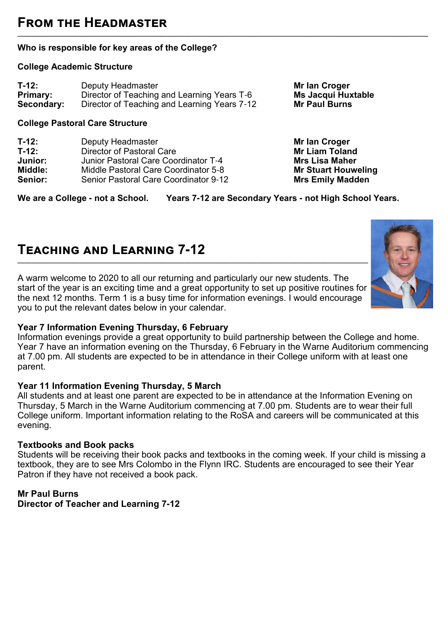# **From the Headmaster**

#### **Who is responsible for key areas of the College?**

#### **College Academic Structure**

| $T-12:$         | Deputy Headmaster                            |
|-----------------|----------------------------------------------|
| <b>Primary:</b> | Director of Teaching and Learning Years T-6  |
| Secondary:      | Director of Teaching and Learning Years 7-12 |

#### **College Pastoral Care Structure**

| T-12:   | Deputy Headmaster                            |
|---------|----------------------------------------------|
| $T-12:$ | <b>Director of Pastoral Care</b>             |
| Junior: | Junior Pastoral Care Coordinator T-4         |
| Middle: | Middle Pastoral Care Coordinator 5-8         |
| Senior: | <b>Senior Pastoral Care Coordinator 9-12</b> |

**We are a College - not a School. Years 7-12 are Secondary Years - not High School Years.**

**\_\_\_\_\_\_\_\_\_\_\_\_\_\_\_\_\_\_\_\_\_\_\_\_\_\_\_\_\_\_\_\_\_\_\_\_\_\_\_\_\_\_\_\_\_\_\_\_\_\_\_\_\_\_\_\_\_\_\_\_\_\_\_\_\_\_\_\_\_\_\_\_\_\_\_\_\_\_\_\_\_\_\_\_\_\_\_\_\_\_\_\_\_\_\_\_\_\_\_\_\_\_\_\_\_\_\_\_\_\_\_\_\_\_\_\_\_\_\_\_\_\_\_**

# **Teaching and Learning 7-12**

A warm welcome to 2020 to all our returning and particularly our new students. The start of the year is an exciting time and a great opportunity to set up positive routines for the next 12 months. Term 1 is a busy time for information evenings. I would encourage you to put the relevant dates below in your calendar.

#### **Year 7 Information Evening Thursday, 6 February**

Information evenings provide a great opportunity to build partnership between the College and home. Year 7 have an information evening on the Thursday, 6 February in the Warne Auditorium commencing at 7.00 pm. All students are expected to be in attendance in their College uniform with at least one parent.

#### **Year 11 Information Evening Thursday, 5 March**

All students and at least one parent are expected to be in attendance at the Information Evening on Thursday, 5 March in the Warne Auditorium commencing at 7.00 pm. Students are to wear their full College uniform. Important information relating to the RoSA and careers will be communicated at this evening.

#### **Textbooks and Book packs**

Students will be receiving their book packs and textbooks in the coming week. If your child is missing a textbook, they are to see Mrs Colombo in the Flynn IRC. Students are encouraged to see their Year Patron if they have not received a book pack.

# **Mr Paul Burns**

**Director of Teacher and Learning 7-12**



**Mr Ian Croger Ms Jacqui Huxtable Mr Paul Burns** 

**Mr Ian Croger Mr Liam Toland Mrs Lisa Maher Mr Stuart Houweling Mrs Emily Madden**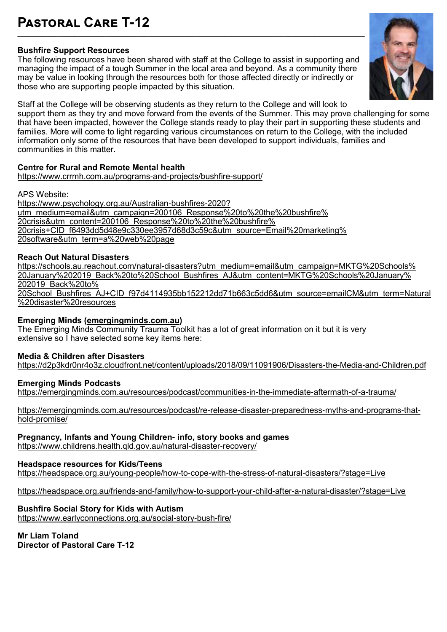# **Pastoral Care T-12**

#### **Bushfire Support Resources**

The following resources have been shared with staff at the College to assist in supporting and managing the impact of a tough Summer in the local area and beyond. As a community there may be value in looking through the resources both for those affected directly or indirectly or those who are supporting people impacted by this situation.

**\_\_\_\_\_\_\_\_\_\_\_\_\_\_\_\_\_\_\_\_\_\_\_\_\_\_\_\_\_\_\_\_\_\_\_\_\_\_\_\_\_\_\_\_\_\_\_\_\_\_\_\_\_\_\_\_\_\_\_\_\_\_\_\_\_\_\_\_\_\_\_\_\_\_\_\_\_\_\_\_\_\_\_\_\_\_\_\_\_\_\_\_\_\_\_\_\_\_\_\_\_\_\_\_**



Staff at the College will be observing students as they return to the College and will look to support them as they try and move forward from the events of the Summer. This may prove challenging for some that have been impacted, however the College stands ready to play their part in supporting these students and families. More will come to light regarding various circumstances on return to the College, with the included information only some of the resources that have been developed to support individuals, families and communities in this matter.

#### **Centre for Rural and Remote Mental health**

[https://www.crrmh.com.au/programs](https://www.crrmh.com.au/programs-and-projects/bushfire-support/)-and-projects/bushfire-support/ Ξ

APS Website:

[https://www.psychology.org.au/Australian](https://www.psychology.org.au/Australian-bushfires-2020?utm_medium=email&utm_campaign=200106_Response%20to%20the%20bushfire%20crisis&utm_content=200106_Response%20to%20the%20bushfire%20crisis+CID_f6493dd5d48e9c330ee3957d68d3c59c&utm_source=Email%20marketing%2)-bushfires-2020? [utm\\_medium=email&utm\\_campaign=200106\\_Response%20to%20the%20bushfire%](https://www.psychology.org.au/Australian-bushfires-2020?utm_medium=email&utm_campaign=200106_Response%20to%20the%20bushfire%20crisis&utm_content=200106_Response%20to%20the%20bushfire%20crisis+CID_f6493dd5d48e9c330ee3957d68d3c59c&utm_source=Email%20marketing%2) [20crisis&utm\\_content=200106\\_Response%20to%20the%20bushfire%](https://www.psychology.org.au/Australian-bushfires-2020?utm_medium=email&utm_campaign=200106_Response%20to%20the%20bushfire%20crisis&utm_content=200106_Response%20to%20the%20bushfire%20crisis+CID_f6493dd5d48e9c330ee3957d68d3c59c&utm_source=Email%20marketing%2) [20crisis+CID\\_f6493dd5d48e9c330ee3957d68d3c59c&utm\\_source=Email%20marketing%](https://www.psychology.org.au/Australian-bushfires-2020?utm_medium=email&utm_campaign=200106_Response%20to%20the%20bushfire%20crisis&utm_content=200106_Response%20to%20the%20bushfire%20crisis+CID_f6493dd5d48e9c330ee3957d68d3c59c&utm_source=Email%20marketing%2) [20software&utm\\_term=a%20web%20page](https://www.psychology.org.au/Australian-bushfires-2020?utm_medium=email&utm_campaign=200106_Response%20to%20the%20bushfire%20crisis&utm_content=200106_Response%20to%20the%20bushfire%20crisis+CID_f6493dd5d48e9c330ee3957d68d3c59c&utm_source=Email%20marketing%2) Ξ

#### **Reach Out Natural Disasters**

https://schools.au.reachout.com/natural-[disasters?utm\\_medium=email&utm\\_campaign=MKTG%20Schools%](https://schools.au.reachout.com/natural-disasters?utm_medium=email&utm_campaign=MKTG%20Schools%20January%202019_Back%20to%20School_Bushfires_AJ&utm_content=MKTG%20Schools%20January%202019_Back%20to%20School_Bushfires_AJ+CID_f97d4114935bb152212dd71b663c5dd6&ut) [20January%202019\\_Back%20to%20School\\_Bushfires\\_AJ&utm\\_content=MKTG%20Schools%20January%](https://schools.au.reachout.com/natural-disasters?utm_medium=email&utm_campaign=MKTG%20Schools%20January%202019_Back%20to%20School_Bushfires_AJ&utm_content=MKTG%20Schools%20January%202019_Back%20to%20School_Bushfires_AJ+CID_f97d4114935bb152212dd71b663c5dd6&ut) [202019\\_Back%20to%](https://schools.au.reachout.com/natural-disasters?utm_medium=email&utm_campaign=MKTG%20Schools%20January%202019_Back%20to%20School_Bushfires_AJ&utm_content=MKTG%20Schools%20January%202019_Back%20to%20School_Bushfires_AJ+CID_f97d4114935bb152212dd71b663c5dd6&ut) [20School\\_Bushfires\\_AJ+CID\\_f97d4114935bb152212dd71b663c5dd6&utm\\_source=emailCM&utm\\_term=Natural](https://schools.au.reachout.com/natural-disasters?utm_medium=email&utm_campaign=MKTG%20Schools%20January%202019_Back%20to%20School_Bushfires_AJ&utm_content=MKTG%20Schools%20January%202019_Back%20to%20School_Bushfires_AJ+CID_f97d4114935bb152212dd71b663c5dd6&ut) [%20disaster%20resources](https://schools.au.reachout.com/natural-disasters?utm_medium=email&utm_campaign=MKTG%20Schools%20January%202019_Back%20to%20School_Bushfires_AJ&utm_content=MKTG%20Schools%20January%202019_Back%20to%20School_Bushfires_AJ+CID_f97d4114935bb152212dd71b663c5dd6&ut) ٦

#### **Emerging Minds ([emergingminds.com.au\)](http://emergingminds.com.au/)**

The Emerging Minds Community Trauma Toolkit has a lot of great information on it but it is very extensive so I have selected some key items here:

#### **Media & Children after Disasters**

[https://d2p3kdr0nr4o3z.cloudfront.net/content/uploads/2018/09/11091906/Disasters](https://d2p3kdr0nr4o3z.cloudfront.net/content/uploads/2018/09/11091906/Disasters-the-Media-and-Children.pdf)-the-Media-and-Children.pdf Ξ

#### **Emerging Minds Podcasts**

[https://emergingminds.com.au/resources/podcast/communities](https://emergingminds.com.au/resources/podcast/communities-in-the-immediate-aftermath-of-a-trauma/)-in-the-immediate-aftermath-of-a-trauma/ Ξ

[https://emergingminds.com.au/resources/podcast/re](https://emergingminds.com.au/resources/podcast/re-release-disaster-preparedness-myths-and-programs-that-hold-promise/)-release-disaster-preparedness-myths-and-programs-thathold-[promise/](https://emergingminds.com.au/resources/podcast/re-release-disaster-preparedness-myths-and-programs-that-hold-promise/) ٦

#### **Pregnancy, Infants and Young Children- info, story books and games**

[https://www.childrens.health.qld.gov.au/natural](https://www.childrens.health.qld.gov.au/natural-disaster-recovery/)-disaster-recovery/ ٦

#### **Headspace resources for Kids/Teens**

[https://headspace.org.au/young](https://headspace.org.au/young-people/how-to-cope-with-the-stress-of-natural-disasters/?stage=Live)-people/how-to-cope-with-the-stress-of-natural-disasters/?stage=Live ٦

[https://headspace.org.au/friends](https://headspace.org.au/friends-and-family/how-to-support-your-child-after-a-natural-disaster/?stage=Live)-and-family/how-to-support-your-child-after-a-natural-disaster/?stage=Live Ξ

#### **Bushfire Social Story for Kids with Autism**

[https://www.earlyconnections.org.au/social](https://www.earlyconnections.org.au/social-story-bush-fire/)-story-bush-fire/

**Mr Liam Toland Director of Pastoral Care T-12**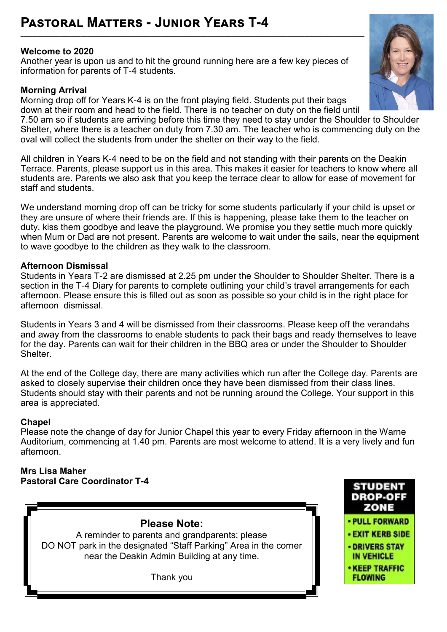# **Pastoral Matters - Junior Years T-4**

### **Welcome to 2020**

Another year is upon us and to hit the ground running here are a few key pieces of information for parents of T-4 students.

**\_\_\_\_\_\_\_\_\_\_\_\_\_\_\_\_\_\_\_\_\_\_\_\_\_\_\_\_\_\_\_\_\_\_\_\_\_\_\_\_\_\_\_\_\_\_\_\_\_\_\_\_\_\_\_\_\_\_\_\_\_\_\_\_\_\_\_\_\_\_\_\_\_\_\_\_\_\_\_\_\_\_\_\_\_\_\_\_\_\_\_\_\_\_\_\_\_\_\_\_\_\_\_**

# **Morning Arrival**

Morning drop off for Years K-4 is on the front playing field. Students put their bags down at their room and head to the field. There is no teacher on duty on the field until

7.50 am so if students are arriving before this time they need to stay under the Shoulder to Shoulder Shelter, where there is a teacher on duty from 7.30 am. The teacher who is commencing duty on the oval will collect the students from under the shelter on their way to the field.

All children in Years K-4 need to be on the field and not standing with their parents on the Deakin Terrace. Parents, please support us in this area. This makes it easier for teachers to know where all students are. Parents we also ask that you keep the terrace clear to allow for ease of movement for staff and students.

We understand morning drop off can be tricky for some students particularly if your child is upset or they are unsure of where their friends are. If this is happening, please take them to the teacher on duty, kiss them goodbye and leave the playground. We promise you they settle much more quickly when Mum or Dad are not present. Parents are welcome to wait under the sails, near the equipment to wave goodbye to the children as they walk to the classroom.

### **Afternoon Dismissal**

Students in Years T-2 are dismissed at 2.25 pm under the Shoulder to Shoulder Shelter. There is a section in the T-4 Diary for parents to complete outlining your child's travel arrangements for each afternoon. Please ensure this is filled out as soon as possible so your child is in the right place for afternoon dismissal.

Students in Years 3 and 4 will be dismissed from their classrooms. Please keep off the verandahs and away from the classrooms to enable students to pack their bags and ready themselves to leave for the day. Parents can wait for their children in the BBQ area or under the Shoulder to Shoulder Shelter.

At the end of the College day, there are many activities which run after the College day. Parents are asked to closely supervise their children once they have been dismissed from their class lines. Students should stay with their parents and not be running around the College. Your support in this area is appreciated.

# **Chapel**

Please note the change of day for Junior Chapel this year to every Friday afternoon in the Warne Auditorium, commencing at 1.40 pm. Parents are most welcome to attend. It is a very lively and fun afternoon.

#### **Mrs Lisa Maher Pastoral Care Coordinator T-4**





**STUDENT**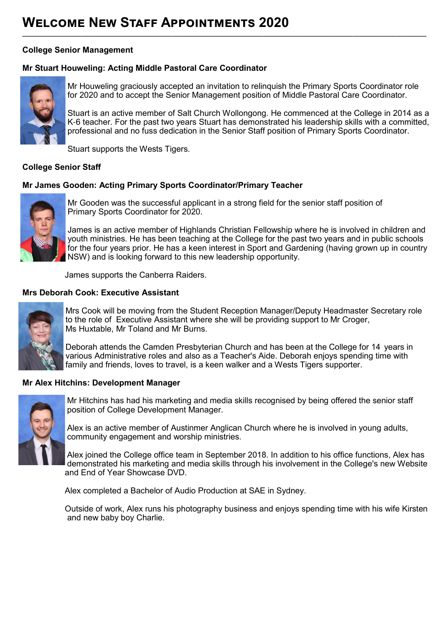#### **College Senior Management**

#### **Mr Stuart Houweling: Acting Middle Pastoral Care Coordinator**



Mr Houweling graciously accepted an invitation to relinquish the Primary Sports Coordinator role for 2020 and to accept the Senior Management position of Middle Pastoral Care Coordinator.

**\_\_\_\_\_\_\_\_\_\_\_\_\_\_\_\_\_\_\_\_\_\_\_\_\_\_\_\_\_\_\_\_\_\_\_\_\_\_\_\_\_\_\_\_\_\_\_\_\_\_\_\_\_\_\_\_\_\_\_\_\_\_\_\_\_\_\_\_\_\_\_\_\_\_\_\_\_\_\_\_\_\_\_\_\_\_\_\_\_\_\_\_\_\_\_\_\_\_\_\_\_\_\_\_\_\_\_\_\_\_\_\_\_\_\_\_\_\_\_\_\_**

Stuart is an active member of Salt Church Wollongong. He commenced at the College in 2014 as a K-6 teacher. For the past two years Stuart has demonstrated his leadership skills with a committed, professional and no fuss dedication in the Senior Staff position of Primary Sports Coordinator.

Stuart supports the Wests Tigers.

#### **College Senior Staff**

#### **Mr James Gooden: Acting Primary Sports Coordinator/Primary Teacher**



Mr Gooden was the successful applicant in a strong field for the senior staff position of Primary Sports Coordinator for 2020.

James is an active member of Highlands Christian Fellowship where he is involved in children and youth ministries. He has been teaching at the College for the past two years and in public schools for the four years prior. He has a keen interest in Sport and Gardening (having grown up in country NSW) and is looking forward to this new leadership opportunity.

James supports the Canberra Raiders.

#### **Mrs Deborah Cook: Executive Assistant**



Mrs Cook will be moving from the Student Reception Manager/Deputy Headmaster Secretary role to the role of Executive Assistant where she will be providing support to Mr Croger, Ms Huxtable, Mr Toland and Mr Burns.

Deborah attends the Camden Presbyterian Church and has been at the College for 14 years in various Administrative roles and also as a Teacher's Aide. Deborah enjoys spending time with family and friends, loves to travel, is a keen walker and a Wests Tigers supporter.

#### **Mr Alex Hitchins: Development Manager**



Mr Hitchins has had his marketing and media skills recognised by being offered the senior staff position of College Development Manager.

Alex is an active member of Austinmer Anglican Church where he is involved in young adults, community engagement and worship ministries.

Alex joined the College office team in September 2018. In addition to his office functions, Alex has demonstrated his marketing and media skills through his involvement in the College's new Website and End of Year Showcase DVD.

Alex completed a Bachelor of Audio Production at SAE in Sydney.

 Outside of work, Alex runs his photography business and enjoys spending time with his wife Kirsten and new baby boy Charlie.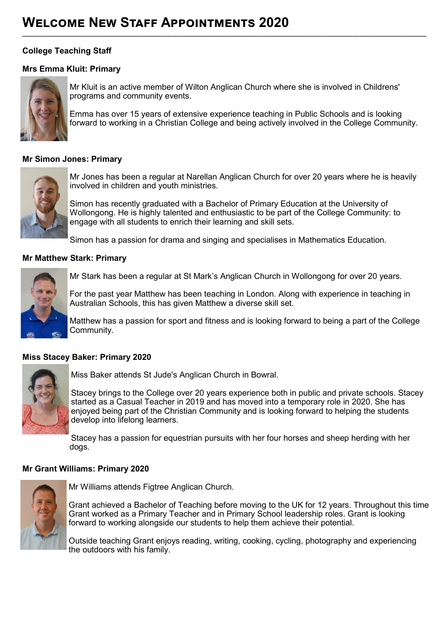### **College Teaching Staff**

#### **Mrs Emma Kluit: Primary**



Mr Kluit is an active member of Wilton Anglican Church where she is involved in Childrens' programs and community events.

**\_\_\_\_\_\_\_\_\_\_\_\_\_\_\_\_\_\_\_\_\_\_\_\_\_\_\_\_\_\_\_\_\_\_\_\_\_\_\_\_\_\_\_\_\_\_\_\_\_\_\_\_\_\_\_\_\_\_\_\_\_\_\_\_\_\_\_\_\_\_\_\_\_\_\_\_\_\_\_\_\_\_\_\_\_\_\_\_\_\_\_\_\_\_\_\_\_\_\_\_\_\_\_\_\_\_\_\_\_\_\_\_\_\_\_\_\_\_\_\_\_**

Emma has over 15 years of extensive experience teaching in Public Schools and is looking forward to working in a Christian College and being actively involved in the College Community.

#### **Mr Simon Jones: Primary**



Mr Jones has been a regular at Narellan Anglican Church for over 20 years where he is heavily involved in children and youth ministries.

Simon has recently graduated with a Bachelor of Primary Education at the University of Wollongong. He is highly talented and enthusiastic to be part of the College Community: to engage with all students to enrich their learning and skill sets.

Simon has a passion for drama and singing and specialises in Mathematics Education.

#### **Mr Matthew Stark: Primary**



Mr Stark has been a regular at St Mark's Anglican Church in Wollongong for over 20 years.

For the past year Matthew has been teaching in London. Along with experience in teaching in Australian Schools, this has given Matthew a diverse skill set.

Matthew has a passion for sport and fitness and is looking forward to being a part of the College Community.

#### **Miss Stacey Baker: Primary 2020**



Miss Baker attends St Jude's Anglican Church in Bowral.

Stacey brings to the College over 20 years experience both in public and private schools. Stacey started as a Casual Teacher in 2019 and has moved into a temporary role in 2020. She has enjoyed being part of the Christian Community and is looking forward to helping the students develop into lifelong learners.

Stacey has a passion for equestrian pursuits with her four horses and sheep herding with her dogs.

#### **Mr Grant Williams: Primary 2020**



Mr Williams attends Figtree Anglican Church.

Grant achieved a Bachelor of Teaching before moving to the UK for 12 years. Throughout this time Grant worked as a Primary Teacher and in Primary School leadership roles. Grant is looking forward to working alongside our students to help them achieve their potential.

Outside teaching Grant enjoys reading, writing, cooking, cycling, photography and experiencing the outdoors with his family.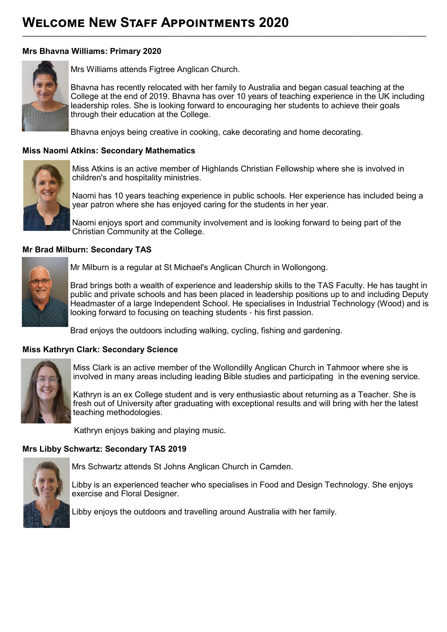#### **Mrs Bhavna Williams: Primary 2020**



Mrs Williams attends Figtree Anglican Church.

Bhavna has recently relocated with her family to Australia and began casual teaching at the College at the end of 2019. Bhavna has over 10 years of teaching experience in the UK including leadership roles. She is looking forward to encouraging her students to achieve their goals through their education at the College.

Bhavna enjoys being creative in cooking, cake decorating and home decorating.

**\_\_\_\_\_\_\_\_\_\_\_\_\_\_\_\_\_\_\_\_\_\_\_\_\_\_\_\_\_\_\_\_\_\_\_\_\_\_\_\_\_\_\_\_\_\_\_\_\_\_\_\_\_\_\_\_\_\_\_\_\_\_\_\_\_\_\_\_\_\_\_\_\_\_\_\_\_\_\_\_\_\_\_\_\_\_\_\_\_\_\_\_\_\_\_\_\_\_\_\_\_\_\_\_\_\_\_\_\_\_\_\_\_\_\_\_\_\_\_\_\_**

#### **Miss Naomi Atkins: Secondary Mathematics**



Miss Atkins is an active member of Highlands Christian Fellowship where she is involved in children's and hospitality ministries.

Naomi has 10 years teaching experience in public schools. Her experience has included being a year patron where she has enjoyed caring for the students in her year.

Naomi enjoys sport and community involvement and is looking forward to being part of the Christian Community at the College.

#### **Mr Brad Milburn: Secondary TAS**



Mr Milburn is a regular at St Michael's Anglican Church in Wollongong.

Brad brings both a wealth of experience and leadership skills to the TAS Faculty. He has taught in public and private schools and has been placed in leadership positions up to and including Deputy Headmaster of a large Independent School. He specialises in Industrial Technology (Wood) and is looking forward to focusing on teaching students - his first passion.

Brad enjoys the outdoors including walking, cycling, fishing and gardening.

#### **Miss Kathryn Clark: Secondary Science**



Miss Clark is an active member of the Wollondilly Anglican Church in Tahmoor where she is involved in many areas including leading Bible studies and participating in the evening service.

Kathryn is an ex College student and is very enthusiastic about returning as a Teacher. She is fresh out of University after graduating with exceptional results and will bring with her the latest teaching methodologies.

Kathryn enjoys baking and playing music.

# **Mrs Libby Schwartz: Secondary TAS 2019**



Mrs Schwartz attends St Johns Anglican Church in Camden.

Libby is an experienced teacher who specialises in Food and Design Technology. She enjoys exercise and Floral Designer.

Libby enjoys the outdoors and travelling around Australia with her family.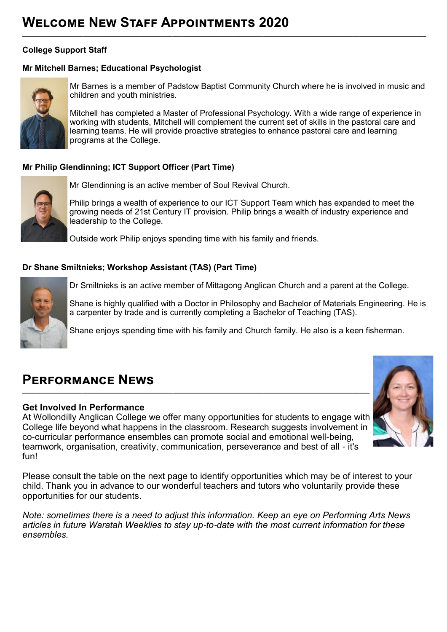### **College Support Staff**

### **Mr Mitchell Barnes; Educational Psychologist**



Mr Barnes is a member of Padstow Baptist Community Church where he is involved in music and children and youth ministries.

**\_\_\_\_\_\_\_\_\_\_\_\_\_\_\_\_\_\_\_\_\_\_\_\_\_\_\_\_\_\_\_\_\_\_\_\_\_\_\_\_\_\_\_\_\_\_\_\_\_\_\_\_\_\_\_\_\_\_\_\_\_\_\_\_\_\_\_\_\_\_\_\_\_\_\_\_\_\_\_\_\_\_\_\_\_\_\_\_\_\_\_\_\_\_\_\_\_\_\_\_\_\_\_\_\_\_\_\_\_\_\_\_\_\_\_\_\_\_\_\_\_**

Mitchell has completed a Master of Professional Psychology. With a wide range of experience in working with students, Mitchell will complement the current set of skills in the pastoral care and learning teams. He will provide proactive strategies to enhance pastoral care and learning programs at the College.

### **Mr Philip Glendinning; ICT Support Officer (Part Time)**



Mr Glendinning is an active member of Soul Revival Church.

Philip brings a wealth of experience to our ICT Support Team which has expanded to meet the growing needs of 21st Century IT provision. Philip brings a wealth of industry experience and leadership to the College.

Outside work Philip enjoys spending time with his family and friends.

#### **Dr Shane Smiltnieks; Workshop Assistant (TAS) (Part Time)**



Dr Smiltnieks is an active member of Mittagong Anglican Church and a parent at the College.

Shane is highly qualified with a Doctor in Philosophy and Bachelor of Materials Engineering. He is a carpenter by trade and is currently completing a Bachelor of Teaching (TAS).

Shane enjoys spending time with his family and Church family. He also is a keen fisherman.

# **Performance News**

#### **Get Involved In Performance**

At Wollondilly Anglican College we offer many opportunities for students to engage with College life beyond what happens in the classroom. Research suggests involvement in co-curricular performance ensembles can promote social and emotional well-being, teamwork, organisation, creativity, communication, perseverance and best of all - it's fun!



Please consult the table on the next page to identify opportunities which may be of interest to your child. Thank you in advance to our wonderful teachers and tutors who voluntarily provide these opportunities for our students.

*Note: sometimes there is a need to adjust this information. Keep an eye on Performing Arts News articles in future Waratah Weeklies to stay up-to-date with the most current information for these ensembles.*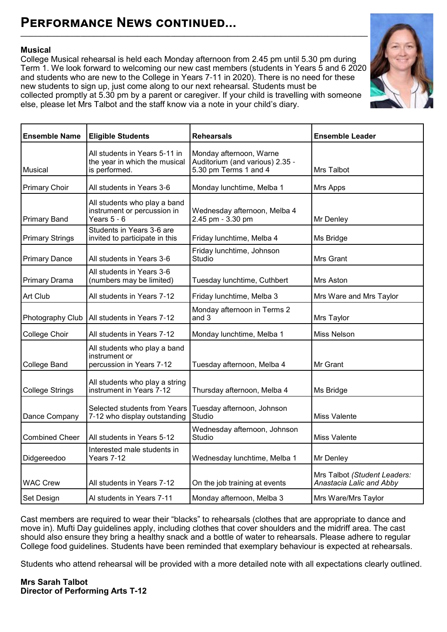### **Musical**

College Musical rehearsal is held each Monday afternoon from 2.45 pm until 5.30 pm during Term 1. We look forward to welcoming our new cast members (students in Years 5 and 6 2020 and students who are new to the College in Years 7-11 in 2020). There is no need for these new students to sign up, just come along to our next rehearsal. Students must be collected promptly at 5.30 pm by a parent or caregiver. If your child is travelling with someone else, please let Mrs Talbot and the staff know via a note in your child's diary.



| <b>Ensemble Name</b>   | <b>Eligible Students</b>                                                        | <b>Rehearsals</b>                                                                   | <b>Ensemble Leader</b>                                   |
|------------------------|---------------------------------------------------------------------------------|-------------------------------------------------------------------------------------|----------------------------------------------------------|
| <b>Musical</b>         | All students in Years 5-11 in<br>the year in which the musical<br>is performed. | Monday afternoon, Warne<br>Auditorium (and various) 2.35 -<br>5.30 pm Terms 1 and 4 | Mrs Talbot                                               |
| <b>Primary Choir</b>   | All students in Years 3-6                                                       | Monday lunchtime, Melba 1                                                           | Mrs Apps                                                 |
| <b>Primary Band</b>    | All students who play a band<br>instrument or percussion in<br>Years $5 - 6$    | Wednesday afternoon, Melba 4<br>2.45 pm - 3.30 pm                                   | Mr Denley                                                |
| <b>Primary Strings</b> | Students in Years 3-6 are<br>invited to participate in this                     | Friday lunchtime, Melba 4                                                           | Ms Bridge                                                |
| <b>Primary Dance</b>   | All students in Years 3-6                                                       | Friday lunchtime, Johnson<br>Studio                                                 | Mrs Grant                                                |
| Primary Drama          | All students in Years 3-6<br>(numbers may be limited)                           | Tuesday lunchtime, Cuthbert                                                         | Mrs Aston                                                |
| Art Club               | All students in Years 7-12                                                      | Friday lunchtime, Melba 3                                                           | Mrs Ware and Mrs Taylor                                  |
| Photography Club       | All students in Years 7-12                                                      | Monday afternoon in Terms 2<br>and 3                                                | Mrs Taylor                                               |
| College Choir          | All students in Years 7-12                                                      | Monday lunchtime, Melba 1                                                           | <b>Miss Nelson</b>                                       |
| <b>College Band</b>    | All students who play a band<br>instrument or<br>percussion in Years 7-12       | Tuesday afternoon, Melba 4                                                          | Mr Grant                                                 |
| <b>College Strings</b> | All students who play a string<br>instrument in Years 7-12                      | Thursday afternoon, Melba 4                                                         | Ms Bridge                                                |
| Dance Company          | Selected students from Years<br>7-12 who display outstanding                    | Tuesday afternoon, Johnson<br>Studio                                                | <b>Miss Valente</b>                                      |
| <b>Combined Cheer</b>  | All students in Years 5-12                                                      | Wednesday afternoon, Johnson<br>Studio                                              | <b>Miss Valente</b>                                      |
| Didgereedoo            | Interested male students in<br>Years 7-12                                       | Wednesday lunchtime, Melba 1                                                        | Mr Denley                                                |
| <b>WAC Crew</b>        | All students in Years 7-12                                                      | On the job training at events                                                       | Mrs Talbot (Student Leaders:<br>Anastacia Lalic and Abby |
| Set Design             | Al students in Years 7-11                                                       | Monday afternoon, Melba 3                                                           | Mrs Ware/Mrs Taylor                                      |

Cast members are required to wear their "blacks" to rehearsals (clothes that are appropriate to dance and move in). Mufti Day guidelines apply, including clothes that cover shoulders and the midriff area. The cast should also ensure they bring a healthy snack and a bottle of water to rehearsals. Please adhere to regular College food guidelines. Students have been reminded that exemplary behaviour is expected at rehearsals.

Students who attend rehearsal will be provided with a more detailed note with all expectations clearly outlined.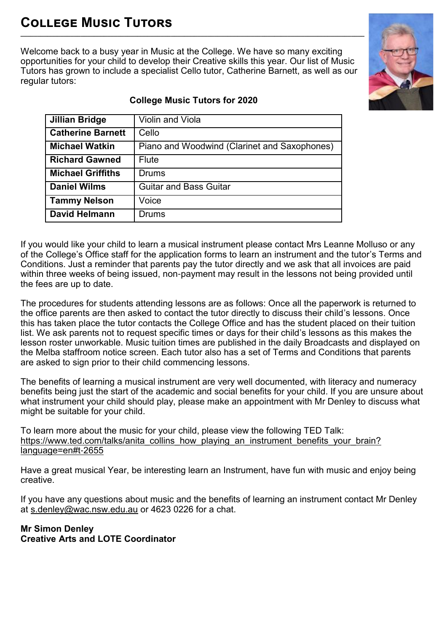# **College Music Tutors \_\_\_\_\_\_\_\_\_\_\_\_\_\_\_\_\_\_\_\_\_\_\_\_\_\_\_\_\_\_\_\_\_\_\_\_\_\_\_\_\_\_\_\_\_\_\_\_\_\_\_\_\_\_\_\_\_\_\_\_\_\_\_\_\_\_\_\_\_\_\_\_\_\_\_\_\_\_\_\_\_\_\_\_\_\_\_\_\_\_\_\_\_\_\_\_\_\_\_\_\_\_\_**

Welcome back to a busy year in Music at the College. We have so many exciting opportunities for your child to develop their Creative skills this year. Our list of Music Tutors has grown to include a specialist Cello tutor, Catherine Barnett, as well as our regular tutors:



| <b>Jillian Bridge</b>    | Violin and Viola                             |
|--------------------------|----------------------------------------------|
| <b>Catherine Barnett</b> | Cello                                        |
| <b>Michael Watkin</b>    | Piano and Woodwind (Clarinet and Saxophones) |
| <b>Richard Gawned</b>    | <b>Flute</b>                                 |
| <b>Michael Griffiths</b> | Drums                                        |
| <b>Daniel Wilms</b>      | <b>Guitar and Bass Guitar</b>                |
| <b>Tammy Nelson</b>      | Voice                                        |
| <b>David Helmann</b>     | Drums                                        |

# **College Music Tutors for 2020**

If you would like your child to learn a musical instrument please contact Mrs Leanne Molluso or any of the College's Office staff for the application forms to learn an instrument and the tutor's Terms and Conditions. Just a reminder that parents pay the tutor directly and we ask that all invoices are paid within three weeks of being issued, non-payment may result in the lessons not being provided until the fees are up to date.

The procedures for students attending lessons are as follows: Once all the paperwork is returned to the office parents are then asked to contact the tutor directly to discuss their child's lessons. Once this has taken place the tutor contacts the College Office and has the student placed on their tuition list. We ask parents not to request specific times or days for their child's lessons as this makes the lesson roster unworkable. Music tuition times are published in the daily Broadcasts and displayed on the Melba staffroom notice screen. Each tutor also has a set of Terms and Conditions that parents are asked to sign prior to their child commencing lessons.

The benefits of learning a musical instrument are very well documented, with literacy and numeracy benefits being just the start of the academic and social benefits for your child. If you are unsure about what instrument your child should play, please make an appointment with Mr Denley to discuss what might be suitable for your child.

To learn more about the music for your child, please view the following TED Talk: [https://www.ted.com/talks/anita\\_collins\\_how\\_playing\\_an\\_instrument\\_benefits\\_your\\_brain?](https://www.ted.com/talks/anita_collins_how_playing_an_instrument_benefits_your_brain?language=en#t-2655) [language=en#t](https://www.ted.com/talks/anita_collins_how_playing_an_instrument_benefits_your_brain?language=en#t-2655)-2655

Have a great musical Year, be interesting learn an Instrument, have fun with music and enjoy being creative.

If you have any questions about music and the benefits of learning an instrument contact Mr Denley at [s.denley@wac.nsw.edu.au](mailto:s.denley@wac.nsw.edu.au) or 4623 0226 for a chat.

### **Mr Simon Denley Creative Arts and LOTE Coordinator**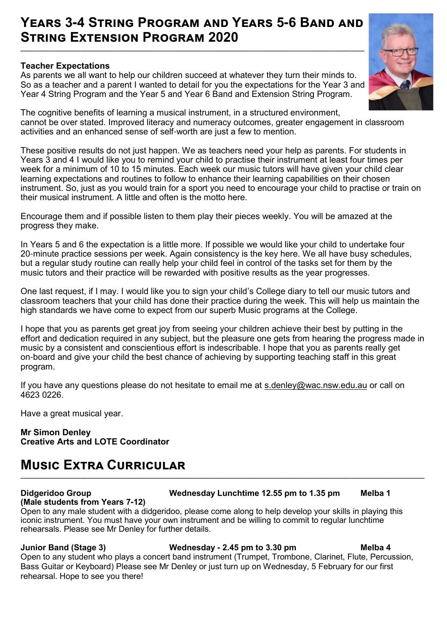# **Years 3-4 String Program and Years 5-6 Band and String Extension Program 2020**

**\_\_\_\_\_\_\_\_\_\_\_\_\_\_\_\_\_\_\_\_\_\_\_\_\_\_\_\_\_\_\_\_\_\_\_\_\_\_\_\_\_\_\_\_\_\_\_\_\_\_\_\_\_\_\_\_\_\_\_\_\_\_\_\_\_\_\_\_\_\_\_\_\_\_\_\_\_\_\_\_\_\_\_\_\_\_\_\_\_\_\_\_\_\_\_\_\_\_\_\_\_\_\_**

#### **Teacher Expectations**

As parents we all want to help our children succeed at whatever they turn their minds to. So as a teacher and a parent I wanted to detail for you the expectations for the Year 3 and Year 4 String Program and the Year 5 and Year 6 Band and Extension String Program.



These positive results do not just happen. We as teachers need your help as parents. For students in Years 3 and 4 I would like you to remind your child to practise their instrument at least four times per week for a minimum of 10 to 15 minutes. Each week our music tutors will have given your child clear learning expectations and routines to follow to enhance their learning capabilities on their chosen instrument. So, just as you would train for a sport you need to encourage your child to practise or train on their musical instrument. A little and often is the motto here.

Encourage them and if possible listen to them play their pieces weekly. You will be amazed at the progress they make.

In Years 5 and 6 the expectation is a little more. If possible we would like your child to undertake four 20-minute practice sessions per week. Again consistency is the key here. We all have busy schedules, but a regular study routine can really help your child feel in control of the tasks set for them by the music tutors and their practice will be rewarded with positive results as the year progresses.

One last request, if I may. I would like you to sign your child's College diary to tell our music tutors and classroom teachers that your child has done their practice during the week. This will help us maintain the high standards we have come to expect from our superb Music programs at the College.

I hope that you as parents get great joy from seeing your children achieve their best by putting in the effort and dedication required in any subject, but the pleasure one gets from hearing the progress made in music by a consistent and conscientious effort is indescribable. I hope that you as parents really get on-board and give your child the best chance of achieving by supporting teaching staff in this great program.

If you have any questions please do not hesitate to email me at [s.denley@wac.nsw.edu.au](mailto:s.denley@wac.nsw.edu.au) or call on 4623 0226.

Have a great musical year.

**Mr Simon Denley Creative Arts and LOTE Coordinator**

# **Music Extra Curricular**

# **(Male students from Years 7-12)**

#### **Didgeridoo Group Wednesday Lunchtime 12.55 pm to 1.35 pm Melba 1**

Open to any male student with a didgeridoo, please come along to help develop your skills in playing this iconic instrument. You must have your own instrument and be willing to commit to regular lunchtime rehearsals. Please see Mr Denley for further details.

**\_\_\_\_\_\_\_\_\_\_\_\_\_\_\_\_\_\_\_\_\_\_\_\_\_\_\_\_\_\_\_\_\_\_\_\_\_\_\_\_\_\_\_\_\_\_\_\_\_\_\_\_\_\_\_\_\_\_\_\_\_\_\_\_\_\_\_\_\_\_\_\_\_\_\_\_\_\_\_\_\_\_\_\_\_\_\_\_\_\_\_\_\_\_\_\_\_\_\_\_\_\_\_\_\_\_\_\_\_\_\_\_\_\_\_\_\_\_\_\_\_**

### **Junior Band (Stage 3) Wednesday - 2.45 pm to 3.30 pm Melba 4**

Open to any student who plays a concert band instrument (Trumpet, Trombone, Clarinet, Flute, Percussion, Bass Guitar or Keyboard) Please see Mr Denley or just turn up on Wednesday, 5 February for our first rehearsal. Hope to see you there!

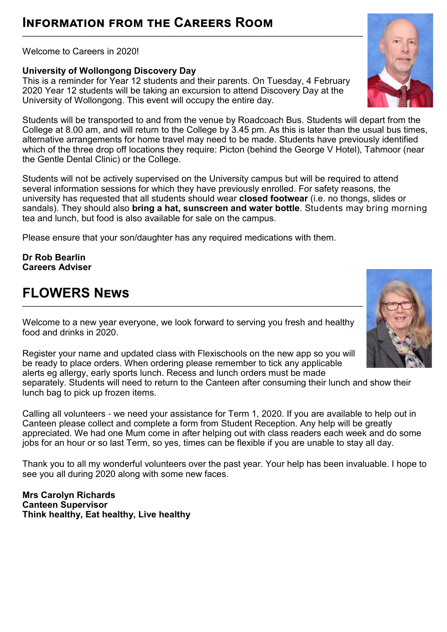# **Information from the Careers Room**

Welcome to Careers in 2020!

### **University of Wollongong Discovery Day**

This is a reminder for Year 12 students and their parents. On Tuesday, 4 February 2020 Year 12 students will be taking an excursion to attend Discovery Day at the University of Wollongong. This event will occupy the entire day.

Students will be transported to and from the venue by Roadcoach Bus. Students will depart from the College at 8.00 am, and will return to the College by 3.45 pm. As this is later than the usual bus times, alternative arrangements for home travel may need to be made. Students have previously identified which of the three drop off locations they require: Picton (behind the George V Hotel), Tahmoor (near the Gentle Dental Clinic) or the College.

Students will not be actively supervised on the University campus but will be required to attend several information sessions for which they have previously enrolled. For safety reasons, the university has requested that all students should wear **closed footwear** (i.e. no thongs, slides or sandals). They should also **bring a hat, sunscreen and water bottle**. Students may bring morning tea and lunch, but food is also available for sale on the campus.

Please ensure that your son/daughter has any required medications with them.

**Dr Rob Bearlin Careers Adviser** 

# **FLOWERS News**

Welcome to a new year everyone, we look forward to serving you fresh and healthy food and drinks in 2020.

**\_\_\_\_\_\_\_\_\_\_\_\_\_\_\_\_\_\_\_\_\_\_\_\_\_\_\_\_\_\_\_\_\_\_\_\_\_\_\_\_\_\_\_\_\_\_\_\_\_\_\_\_\_\_\_\_\_\_\_\_\_\_\_\_\_\_\_\_\_\_\_\_\_\_\_\_\_\_\_\_\_\_\_\_\_\_\_\_\_\_\_\_\_\_\_\_\_\_\_\_\_\_**

Register your name and updated class with Flexischools on the new app so you will be ready to place orders. When ordering please remember to tick any applicable alerts eg allergy, early sports lunch. Recess and lunch orders must be made separately. Students will need to return to the Canteen after consuming their lunch and show their lunch bag to pick up frozen items.

Calling all volunteers - we need your assistance for Term 1, 2020. If you are available to help out in Canteen please collect and complete a form from Student Reception. Any help will be greatly appreciated. We had one Mum come in after helping out with class readers each week and do some jobs for an hour or so last Term, so yes, times can be flexible if you are unable to stay all day.

Thank you to all my wonderful volunteers over the past year. Your help has been invaluable. I hope to see you all during 2020 along with some new faces.

**Mrs Carolyn Richards Canteen Supervisor Think healthy, Eat healthy, Live healthy**



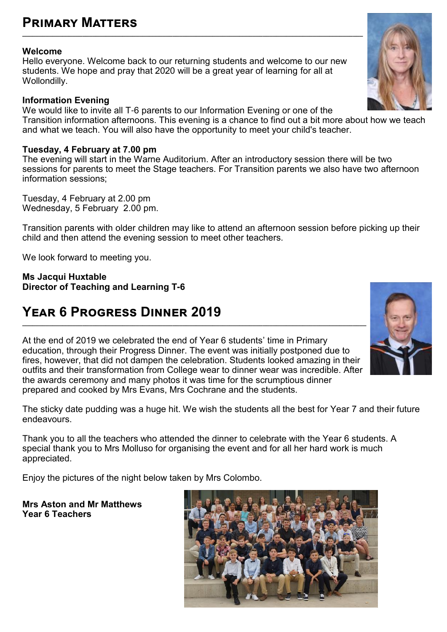# **Primary Matters**

### **Welcome**

Hello everyone. Welcome back to our returning students and welcome to our new students. We hope and pray that 2020 will be a great year of learning for all at Wollondilly.

**\_\_\_\_\_\_\_\_\_\_\_\_\_\_\_\_\_\_\_\_\_\_\_\_\_\_\_\_\_\_\_\_\_\_\_\_\_\_\_\_\_\_\_\_\_\_\_\_\_\_\_\_\_\_\_\_\_\_\_\_\_\_\_\_\_\_\_\_\_\_\_\_\_\_\_\_\_\_\_\_\_\_\_\_\_\_\_\_\_\_\_\_\_\_\_\_\_\_\_\_\_\_**

### **Information Evening**

We would like to invite all T-6 parents to our Information Evening or one of the Transition information afternoons. This evening is a chance to find out a bit more about how we teach and what we teach. You will also have the opportunity to meet your child's teacher.

### **Tuesday, 4 February at 7.00 pm**

The evening will start in the Warne Auditorium. After an introductory session there will be two sessions for parents to meet the Stage teachers. For Transition parents we also have two afternoon information sessions;

Tuesday, 4 February at 2.00 pm Wednesday, 5 February 2.00 pm.

Transition parents with older children may like to attend an afternoon session before picking up their child and then attend the evening session to meet other teachers.

We look forward to meeting you.

**Ms Jacqui Huxtable Director of Teaching and Learning T-6**

# **Year 6 Progress Dinner 2019**

At the end of 2019 we celebrated the end of Year 6 students' time in Primary education, through their Progress Dinner. The event was initially postponed due to fires, however, that did not dampen the celebration. Students looked amazing in their outfits and their transformation from College wear to dinner wear was incredible. After the awards ceremony and many photos it was time for the scrumptious dinner prepared and cooked by Mrs Evans, Mrs Cochrane and the students.

The sticky date pudding was a huge hit. We wish the students all the best for Year 7 and their future endeavours.

Thank you to all the teachers who attended the dinner to celebrate with the Year 6 students. A special thank you to Mrs Molluso for organising the event and for all her hard work is much appreciated.

Enjoy the pictures of the night below taken by Mrs Colombo.

**Mrs Aston and Mr Matthews Year 6 Teachers**





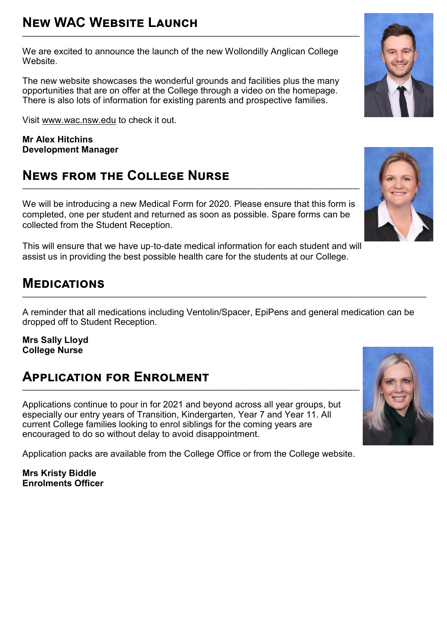We are excited to announce the launch of the new Wollondilly Anglican College Website.

The new website showcases the wonderful grounds and facilities plus the many opportunities that are on offer at the College through a video on the homepage. There is also lots of information for existing parents and prospective families.

Visit [www.wac.nsw.edu](http://www.wac.nsw.edu/) to check it out.

**Mr Alex Hitchins Development Manager** 

# **News from the College Nurse**

We will be introducing a new Medical Form for 2020. Please ensure that this form is completed, one per student and returned as soon as possible. Spare forms can be collected from the Student Reception.

**\_\_\_\_\_\_\_\_\_\_\_\_\_\_\_\_\_\_\_\_\_\_\_\_\_\_\_\_\_\_\_\_\_\_\_\_\_\_\_\_\_\_\_\_\_\_\_\_\_\_\_\_\_\_\_\_\_\_\_\_\_\_\_\_\_\_\_\_\_\_\_\_\_\_\_\_\_\_\_\_\_\_\_\_\_\_\_\_\_\_\_\_\_\_\_\_\_\_\_\_\_**

This will ensure that we have up-to-date medical information for each student and will assist us in providing the best possible health care for the students at our College.

# **Medications**

A reminder that all medications including Ventolin/Spacer, EpiPens and general medication can be dropped off to Student Reception.

**\_\_\_\_\_\_\_\_\_\_\_\_\_\_\_\_\_\_\_\_\_\_\_\_\_\_\_\_\_\_\_\_\_\_\_\_\_\_\_\_\_\_\_\_\_\_\_\_\_\_\_\_\_\_\_\_\_\_\_\_\_\_\_\_\_\_\_\_\_\_\_\_\_\_\_\_\_\_\_\_\_\_\_\_\_\_\_\_\_\_\_\_\_\_\_\_\_\_\_\_\_\_\_\_\_\_\_\_\_\_\_\_\_\_\_\_\_\_\_\_\_**

**Mrs Sally Lloyd College Nurse**

### **Application for Enrolment \_\_\_\_\_\_\_\_\_\_\_\_\_\_\_\_\_\_\_\_\_\_\_\_\_\_\_\_\_\_\_\_\_\_\_\_\_\_\_\_\_\_\_\_\_\_\_\_\_\_\_\_\_\_\_\_\_\_\_\_\_\_\_\_\_\_\_\_\_\_\_\_\_\_\_\_\_\_\_\_\_\_\_\_\_\_\_\_\_\_\_\_\_\_\_\_\_\_\_\_\_**

Applications continue to pour in for 2021 and beyond across all year groups, but especially our entry years of Transition, Kindergarten, Year 7 and Year 11. All current College families looking to enrol siblings for the coming years are encouraged to do so without delay to avoid disappointment.

Application packs are available from the College Office or from the College website.

**Mrs Kristy Biddle Enrolments Officer**





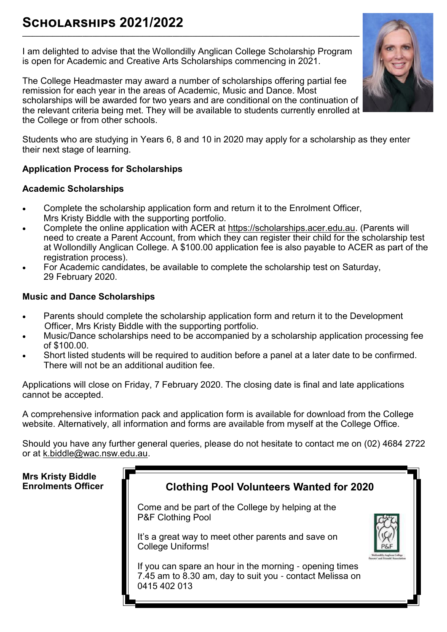# **Scholarships 2021/2022**

I am delighted to advise that the Wollondilly Anglican College Scholarship Program is open for Academic and Creative Arts Scholarships commencing in 2021.

**\_\_\_\_\_\_\_\_\_\_\_\_\_\_\_\_\_\_\_\_\_\_\_\_\_\_\_\_\_\_\_\_\_\_\_\_\_\_\_\_\_\_\_\_\_\_\_\_\_\_\_\_\_\_\_\_\_\_\_\_\_\_\_\_\_\_\_\_\_\_\_\_\_\_\_\_\_\_\_\_\_\_\_\_\_\_\_\_\_\_\_\_\_\_\_\_\_\_\_\_\_**

The College Headmaster may award a number of scholarships offering partial fee remission for each year in the areas of Academic, Music and Dance. Most scholarships will be awarded for two years and are conditional on the continuation of the relevant criteria being met. They will be available to students currently enrolled at the College or from other schools.

Students who are studying in Years 6, 8 and 10 in 2020 may apply for a scholarship as they enter their next stage of learning.

# **Application Process for Scholarships**

# **Academic Scholarships**

- Complete the scholarship application form and return it to the Enrolment Officer, Mrs Kristy Biddle with the supporting portfolio.
- Complete the online application with ACER at [https://scholarships.acer.edu.au.](https://scholarships.acer.edu.au/) (Parents will need to create a Parent Account, from which they can register their child for the scholarship test at Wollondilly Anglican College. A \$100.00 application fee is also payable to ACER as part of the registration process).
- For Academic candidates, be available to complete the scholarship test on Saturday, 29 February 2020.

# **Music and Dance Scholarships**

- Parents should complete the scholarship application form and return it to the Development Officer, Mrs Kristy Biddle with the supporting portfolio.
- Music/Dance scholarships need to be accompanied by a scholarship application processing fee of \$100.00.
- Short listed students will be required to audition before a panel at a later date to be confirmed. There will not be an additional audition fee.

Applications will close on Friday, 7 February 2020. The closing date is final and late applications cannot be accepted.

A comprehensive information pack and application form is available for download from the College website. Alternatively, all information and forms are available from myself at the College Office.

Should you have any further general queries, please do not hesitate to contact me on (02) 4684 2722 or at [k.biddle@wac.nsw.edu.au.](mailto:k.biddle@wac.nsw.edu.au)

# **Mrs Kristy Biddle**



Come and be part of the College by helping at the P&F Clothing Pool

It's a great way to meet other parents and save on College Uniforms!

If you can spare an hour in the morning - opening times 7.45 am to 8.30 am, day to suit you - contact Melissa on 0415 402 013



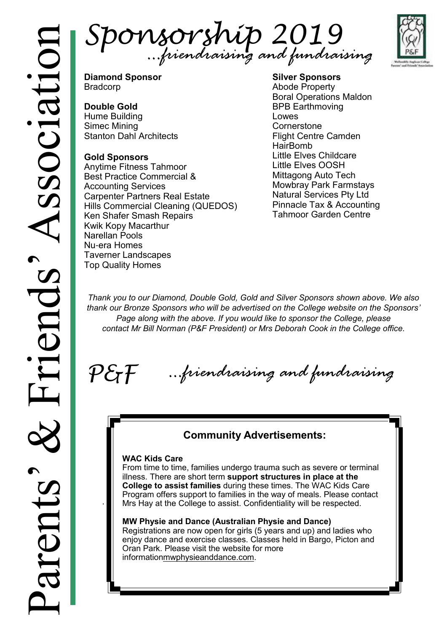Sponsorship 2019 *…friendraising and fundraising*



**Diamond Sponsor** Bradcorp

# **Double Gold**

Hume Building Simec Mining Stanton Dahl Architects

# **Gold Sponsors**

Anytime Fitness Tahmoor Best Practice Commercial & Accounting Services Carpenter Partners Real Estate Hills Commercial Cleaning (QUEDOS) Ken Shafer Smash Repairs Kwik Kopy Macarthur Narellan Pools Nu-era Homes Taverner Landscapes Top Quality Homes

**Silver Sponsors** Abode Property Boral Operations Maldon BPB Earthmoving Lowes **Cornerstone** Flight Centre Camden HairBomb Little Elves Childcare Little Elves OOSH Mittagong Auto Tech Mowbray Park Farmstays Natural Services Pty Ltd Pinnacle Tax & Accounting Tahmoor Garden Centre

*Thank you to our Diamond, Double Gold, Gold and Silver Sponsors shown above. We also thank our Bronze Sponsors who will be advertised on the College website on the Sponsors' Page along with the above. If you would like to sponsor the College, please contact Mr Bill Norman (P&F President) or Mrs Deborah Cook in the College office.*

 $P \mathcal{E}$ f *…friendraising and fundraising*

# **Community Advertisements:**

# **WAC Kids Care**

.

From time to time, families undergo trauma such as severe or terminal illness. There are short term **support structures in place at the College to assist families** during these times. The WAC Kids Care Program offers support to families in the way of meals. Please contact Mrs Hay at the College to assist. Confidentiality will be respected.

# **MW Physie and Dance (Australian Physie and Dance)**

Registrations are now open for girls (5 years and up) and ladies who enjoy dance and exercise classes. Classes held in Bargo, Picton and Oran Park. Please visit the website for more informatio[nmwphysieanddance.com.](http://mwphysieanddance.com/)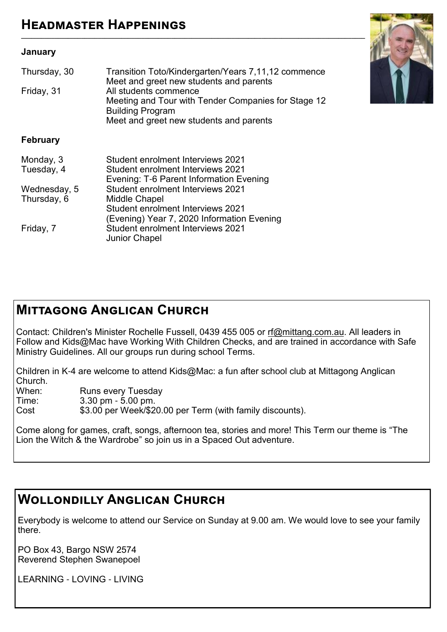# **January**

| Thursday, 30<br>Friday, 31  | Transition Toto/Kindergarten/Years 7,11,12 commence<br>Meet and greet new students and parents<br>All students commence<br>Meeting and Tour with Tender Companies for Stage 12<br><b>Building Program</b><br>Meet and greet new students and parents |
|-----------------------------|------------------------------------------------------------------------------------------------------------------------------------------------------------------------------------------------------------------------------------------------------|
| <b>February</b>             |                                                                                                                                                                                                                                                      |
| Monday, 3<br>Tuesday, 4     | Student enrolment Interviews 2021<br>Student enrolment Interviews 2021<br>Evening: T-6 Parent Information Evening                                                                                                                                    |
| Wednesday, 5<br>Thursday, 6 | <b>Student enrolment Interviews 2021</b><br>Middle Chapel<br><b>Student enrolment Interviews 2021</b><br>(Evening) Year 7, 2020 Information Evening                                                                                                  |
| Friday, 7                   | <b>Student enrolment Interviews 2021</b>                                                                                                                                                                                                             |



Junior Chapel

Contact: Children's Minister Rochelle Fussell, 0439 455 005 or [rf@mittang.com.au.](mailto:rf@mittang.com.au) All leaders in Follow and Kids@Mac have Working With Children Checks, and are trained in accordance with Safe Ministry Guidelines. All our groups run during school Terms.

Children in K-4 are welcome to attend Kids@Mac: a fun after school club at Mittagong Anglican Church.<br>When:

When: Runs every Tuesday<br>Time: 3.30 pm - 5.00 pm

Time: 3.30 pm - 5.00 pm.<br>Cost \$3.00 per Week/\$2

\$3.00 per Week/\$20.00 per Term (with family discounts).

Come along for games, craft, songs, afternoon tea, stories and more! This Term our theme is "The Lion the Witch & the Wardrobe" so join us in a Spaced Out adventure.

# **Wollondilly Anglican Church**

Everybody is welcome to attend our Service on Sunday at 9.00 am. We would love to see your family there.

PO Box 43, Bargo NSW 2574 Reverend Stephen Swanepoel

LEARNING - LOVING - LIVING